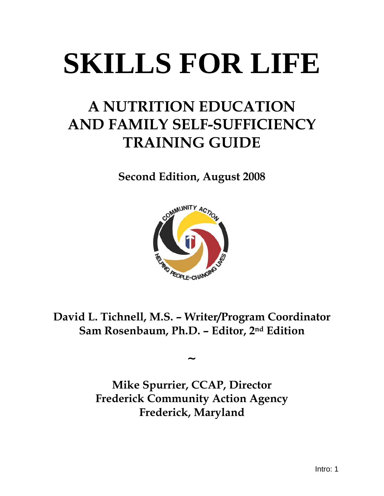## **SKILLS FOR LIFE**

## **A NUTRITION EDUCATION AND FAMILY SELF-SUFFICIENCY TRAINING GUIDE**

**Second Edition, August 2008** 



**David L. Tichnell, M.S. – Writer/Program Coordinator Sam Rosenbaum, Ph.D. – Editor, 2nd Edition** 

**~** 

**Mike Spurrier, CCAP, Director Frederick Community Action Agency Frederick, Maryland**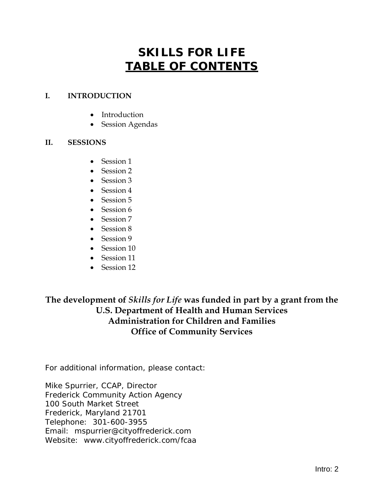## **SKILLS FOR LIFE TABLE OF CONTENTS**

### **I. INTRODUCTION**

- Introduction
- Session Agendas

### **II. SESSIONS**

- Session 1
- Session 2
- Session 3
- Session 4
- Session 5
- Session 6
- Session 7
- Session 8
- Session 9
- Session 10
- Session 11
- Session 12

### **The development of** *Skills for Life* **was funded in part by a grant from the U.S. Department of Health and Human Services Administration for Children and Families Office of Community Services**

For additional information, please contact:

Mike Spurrier, CCAP, Director Frederick Community Action Agency 100 South Market Street Frederick, Maryland 21701 Telephone: 301-600-3955 Email: [mspurrier@cityoffrederick.com](mailto:mspurrier@cityoffrederick.com)  Website: www.cityoffrederick.com/fcaa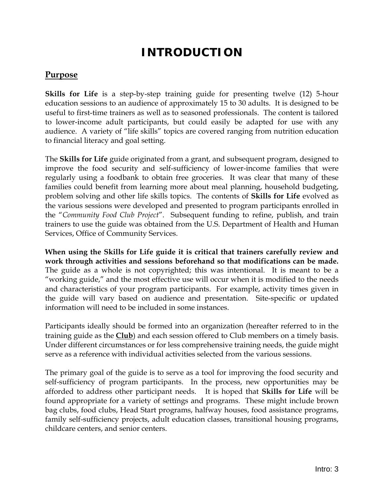### **INTRODUCTION**

### **Purpose**

**Skills for Life** is a step-by-step training guide for presenting twelve (12) 5-hour education sessions to an audience of approximately 15 to 30 adults. It is designed to be useful to first-time trainers as well as to seasoned professionals. The content is tailored to lower-income adult participants, but could easily be adapted for use with any audience. A variety of "life skills" topics are covered ranging from nutrition education to financial literacy and goal setting.

The **Skills for Life** guide originated from a grant, and subsequent program, designed to improve the food security and self-sufficiency of lower-income families that were regularly using a foodbank to obtain free groceries. It was clear that many of these families could benefit from learning more about meal planning, household budgeting, problem solving and other life skills topics. The contents of **Skills for Life** evolved as the various sessions were developed and presented to program participants enrolled in the "*Community Food Club Project*". Subsequent funding to refine, publish, and train trainers to use the guide was obtained from the U.S. Department of Health and Human Services, Office of Community Services.

**When using the Skills for Life guide it is critical that trainers carefully review and work through activities and sessions beforehand so that modifications can be made.** The guide as a whole is not copyrighted; this was intentional. It is meant to be a "working guide," and the most effective use will occur when it is modified to the needs and characteristics of your program participants. For example, activity times given in the guide will vary based on audience and presentation. Site-specific or updated information will need to be included in some instances.

Participants ideally should be formed into an organization (hereafter referred to in the training guide as the **Club**) and each session offered to Club members on a timely basis. Under different circumstances or for less comprehensive training needs, the guide might serve as a reference with individual activities selected from the various sessions.

The primary goal of the guide is to serve as a tool for improving the food security and self-sufficiency of program participants. In the process, new opportunities may be afforded to address other participant needs. It is hoped that **Skills for Life** will be found appropriate for a variety of settings and programs. These might include brown bag clubs, food clubs, Head Start programs, halfway houses, food assistance programs, family self-sufficiency projects, adult education classes, transitional housing programs, childcare centers, and senior centers.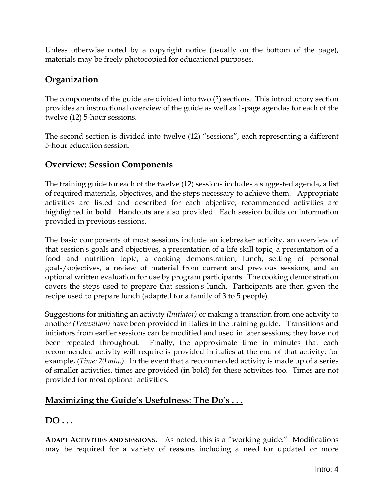Unless otherwise noted by a copyright notice (usually on the bottom of the page), materials may be freely photocopied for educational purposes.

### **Organization**

The components of the guide are divided into two (2) sections. This introductory section provides an instructional overview of the guide as well as 1-page agendas for each of the twelve (12) 5-hour sessions.

The second section is divided into twelve (12) "sessions", each representing a different 5-hour education session.

### **Overview: Session Components**

The training guide for each of the twelve (12) sessions includes a suggested agenda, a list of required materials, objectives, and the steps necessary to achieve them. Appropriate activities are listed and described for each objective; recommended activities are highlighted in **bold**. Handouts are also provided. Each session builds on information provided in previous sessions.

The basic components of most sessions include an icebreaker activity, an overview of that session's goals and objectives, a presentation of a life skill topic, a presentation of a food and nutrition topic, a cooking demonstration, lunch, setting of personal goals/objectives, a review of material from current and previous sessions, and an optional written evaluation for use by program participants. The cooking demonstration covers the steps used to prepare that session's lunch. Participants are then given the recipe used to prepare lunch (adapted for a family of 3 to 5 people).

Suggestions for initiating an activity *(Initiator)* or making a transition from one activity to another *(Transition)* have been provided in italics in the training guide. Transitions and initiators from earlier sessions can be modified and used in later sessions; they have not been repeated throughout. Finally, the approximate time in minutes that each recommended activity will require is provided in italics at the end of that activity: for example, *(Time: 20 min.).* In the event that a recommended activity is made up of a series of smaller activities, times are provided (in bold) for these activities too. Times are not provided for most optional activities.

### **Maximizing the Guide's Usefulness**: **The Do's . . .**

**DO . . .** 

**ADAPT ACTIVITIES AND SESSIONS.** As noted, this is a "working guide." Modifications may be required for a variety of reasons including a need for updated or more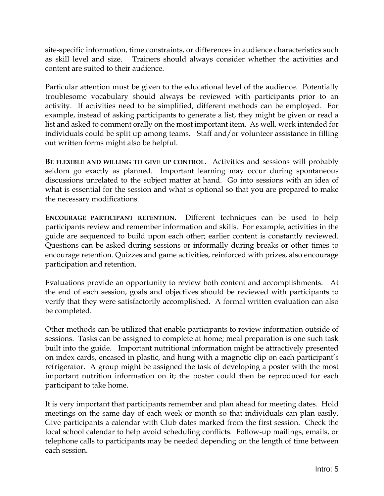site-specific information, time constraints, or differences in audience characteristics such as skill level and size. Trainers should always consider whether the activities and content are suited to their audience.

Particular attention must be given to the educational level of the audience. Potentially troublesome vocabulary should always be reviewed with participants prior to an activity. If activities need to be simplified, different methods can be employed. For example, instead of asking participants to generate a list, they might be given or read a list and asked to comment orally on the most important item. As well, work intended for individuals could be split up among teams. Staff and/or volunteer assistance in filling out written forms might also be helpful.

**BE FLEXIBLE AND WILLING TO GIVE UP CONTROL.** Activities and sessions will probably seldom go exactly as planned. Important learning may occur during spontaneous discussions unrelated to the subject matter at hand. Go into sessions with an idea of what is essential for the session and what is optional so that you are prepared to make the necessary modifications.

**ENCOURAGE PARTICIPANT RETENTION.** Different techniques can be used to help participants review and remember information and skills. For example, activities in the guide are sequenced to build upon each other; earlier content is constantly reviewed. Questions can be asked during sessions or informally during breaks or other times to encourage retention. Quizzes and game activities, reinforced with prizes, also encourage participation and retention.

Evaluations provide an opportunity to review both content and accomplishments. At the end of each session, goals and objectives should be reviewed with participants to verify that they were satisfactorily accomplished. A formal written evaluation can also be completed.

Other methods can be utilized that enable participants to review information outside of sessions. Tasks can be assigned to complete at home; meal preparation is one such task built into the guide. Important nutritional information might be attractively presented on index cards, encased in plastic, and hung with a magnetic clip on each participant's refrigerator. A group might be assigned the task of developing a poster with the most important nutrition information on it; the poster could then be reproduced for each participant to take home.

It is very important that participants remember and plan ahead for meeting dates. Hold meetings on the same day of each week or month so that individuals can plan easily. Give participants a calendar with Club dates marked from the first session. Check the local school calendar to help avoid scheduling conflicts. Follow-up mailings, emails, or telephone calls to participants may be needed depending on the length of time between each session.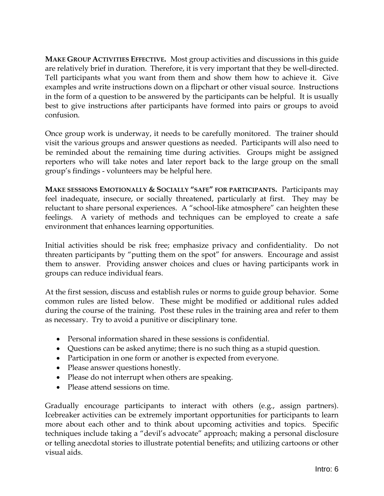**MAKE GROUP ACTIVITIES EFFECTIVE.** Most group activities and discussions in this guide are relatively brief in duration. Therefore, it is very important that they be well-directed. Tell participants what you want from them and show them how to achieve it. Give examples and write instructions down on a flipchart or other visual source. Instructions in the form of a question to be answered by the participants can be helpful. It is usually best to give instructions after participants have formed into pairs or groups to avoid confusion.

Once group work is underway, it needs to be carefully monitored. The trainer should visit the various groups and answer questions as needed. Participants will also need to be reminded about the remaining time during activities. Groups might be assigned reporters who will take notes and later report back to the large group on the small group's findings - volunteers may be helpful here.

**MAKE SESSIONS EMOTIONALLY & SOCIALLY "SAFE" FOR PARTICIPANTS.** Participants may feel inadequate, insecure, or socially threatened, particularly at first. They may be reluctant to share personal experiences. A "school-like atmosphere" can heighten these feelings. A variety of methods and techniques can be employed to create a safe environment that enhances learning opportunities.

Initial activities should be risk free; emphasize privacy and confidentiality. Do not threaten participants by "putting them on the spot" for answers. Encourage and assist them to answer. Providing answer choices and clues or having participants work in groups can reduce individual fears.

At the first session, discuss and establish rules or norms to guide group behavior. Some common rules are listed below. These might be modified or additional rules added during the course of the training. Post these rules in the training area and refer to them as necessary. Try to avoid a punitive or disciplinary tone.

- Personal information shared in these sessions is confidential.
- Questions can be asked anytime; there is no such thing as a stupid question.
- Participation in one form or another is expected from everyone.
- Please answer questions honestly.
- Please do not interrupt when others are speaking.
- Please attend sessions on time.

Gradually encourage participants to interact with others (e.g., assign partners). Icebreaker activities can be extremely important opportunities for participants to learn more about each other and to think about upcoming activities and topics. Specific techniques include taking a "devil's advocate" approach; making a personal disclosure or telling anecdotal stories to illustrate potential benefits; and utilizing cartoons or other visual aids.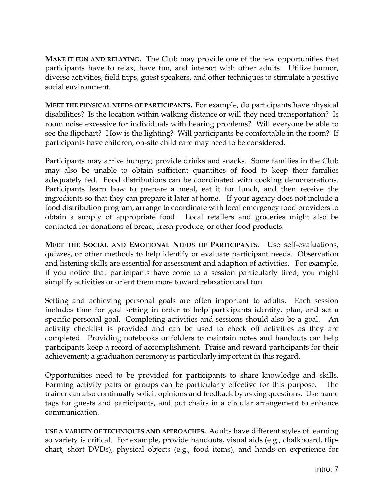**MAKE IT FUN AND RELAXING.** The Club may provide one of the few opportunities that participants have to relax, have fun, and interact with other adults. Utilize humor, diverse activities, field trips, guest speakers, and other techniques to stimulate a positive social environment.

**MEET THE PHYSICAL NEEDS OF PARTICIPANTS.** For example, do participants have physical disabilities? Is the location within walking distance or will they need transportation? Is room noise excessive for individuals with hearing problems? Will everyone be able to see the flipchart? How is the lighting? Will participants be comfortable in the room? If participants have children, on-site child care may need to be considered.

Participants may arrive hungry; provide drinks and snacks. Some families in the Club may also be unable to obtain sufficient quantities of food to keep their families adequately fed. Food distributions can be coordinated with cooking demonstrations. Participants learn how to prepare a meal, eat it for lunch, and then receive the ingredients so that they can prepare it later at home. If your agency does not include a food distribution program, arrange to coordinate with local emergency food providers to obtain a supply of appropriate food. Local retailers and groceries might also be contacted for donations of bread, fresh produce, or other food products.

**MEET THE SOCIAL AND EMOTIONAL NEEDS OF PARTICIPANTS.** Use self-evaluations, quizzes, or other methods to help identify or evaluate participant needs. Observation and listening skills are essential for assessment and adaption of activities. For example, if you notice that participants have come to a session particularly tired, you might simplify activities or orient them more toward relaxation and fun.

Setting and achieving personal goals are often important to adults. Each session includes time for goal setting in order to help participants identify, plan, and set a specific personal goal. Completing activities and sessions should also be a goal. An activity checklist is provided and can be used to check off activities as they are completed. Providing notebooks or folders to maintain notes and handouts can help participants keep a record of accomplishment. Praise and reward participants for their achievement; a graduation ceremony is particularly important in this regard.

Opportunities need to be provided for participants to share knowledge and skills. Forming activity pairs or groups can be particularly effective for this purpose. The trainer can also continually solicit opinions and feedback by asking questions. Use name tags for guests and participants, and put chairs in a circular arrangement to enhance communication.

**USE A VARIETY OF TECHNIQUES AND APPROACHES.** Adults have different styles of learning so variety is critical. For example, provide handouts, visual aids (e.g., chalkboard, flipchart, short DVDs), physical objects (e.g., food items), and hands-on experience for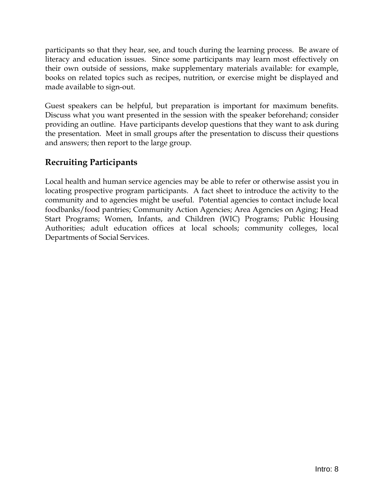participants so that they hear, see, and touch during the learning process. Be aware of literacy and education issues. Since some participants may learn most effectively on their own outside of sessions, make supplementary materials available: for example, books on related topics such as recipes, nutrition, or exercise might be displayed and made available to sign-out.

Guest speakers can be helpful, but preparation is important for maximum benefits. Discuss what you want presented in the session with the speaker beforehand; consider providing an outline. Have participants develop questions that they want to ask during the presentation. Meet in small groups after the presentation to discuss their questions and answers; then report to the large group.

### **Recruiting Participants**

Local health and human service agencies may be able to refer or otherwise assist you in locating prospective program participants. A fact sheet to introduce the activity to the community and to agencies might be useful. Potential agencies to contact include local foodbanks/food pantries; Community Action Agencies; Area Agencies on Aging; Head Start Programs; Women, Infants, and Children (WIC) Programs; Public Housing Authorities; adult education offices at local schools; community colleges, local Departments of Social Services.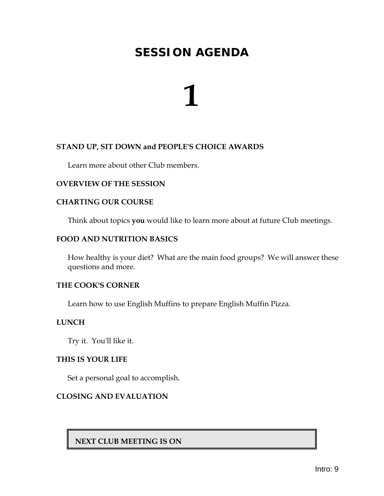**1**

### **STAND UP, SIT DOWN and PEOPLE'S CHOICE AWARDS**

Learn more about other Club members.

### **OVERVIEW OF THE SESSION**

### **CHARTING OUR COURSE**

Think about topics **you** would like to learn more about at future Club meetings.

### **FOOD AND NUTRITION BASICS**

How healthy is your diet? What are the main food groups? We will answer these questions and more.

### **THE COOK'S CORNER**

Learn how to use English Muffins to prepare English Muffin Pizza.

### **LUNCH**

Try it. You'll like it.

### **THIS IS YOUR LIFE**

Set a personal goal to accomplish.

### **CLOSING AND EVALUATION**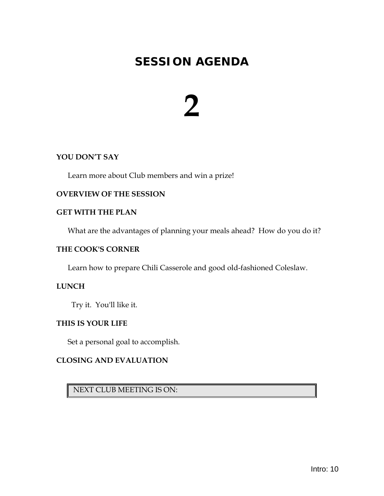# **2**

### **YOU DON'T SAY**

Learn more about Club members and win a prize!

### **OVERVIEW OF THE SESSION**

### **GET WITH THE PLAN**

What are the advantages of planning your meals ahead? How do you do it?

### **THE COOK'S CORNER**

Learn how to prepare Chili Casserole and good old-fashioned Coleslaw.

### **LUNCH**

Try it. You'll like it.

### **THIS IS YOUR LIFE**

Set a personal goal to accomplish.

### **CLOSING AND EVALUATION**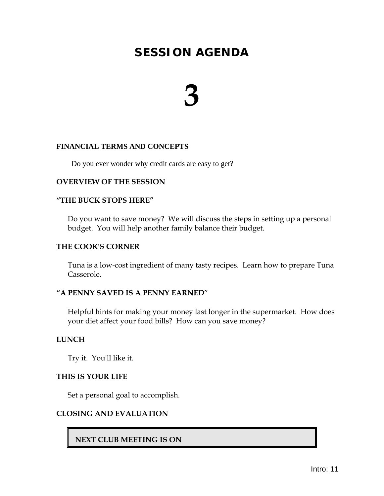## **3**

### **FINANCIAL TERMS AND CONCEPTS**

Do you ever wonder why credit cards are easy to get?

### **OVERVIEW OF THE SESSION**

### **"THE BUCK STOPS HERE"**

Do you want to save money? We will discuss the steps in setting up a personal budget. You will help another family balance their budget.

### **THE COOK'S CORNER**

Tuna is a low-cost ingredient of many tasty recipes. Learn how to prepare Tuna Casserole.

### **"A PENNY SAVED IS A PENNY EARNED**"

Helpful hints for making your money last longer in the supermarket. How does your diet affect your food bills? How can you save money?

### **LUNCH**

Try it. You'll like it.

### **THIS IS YOUR LIFE**

Set a personal goal to accomplish.

### **CLOSING AND EVALUATION**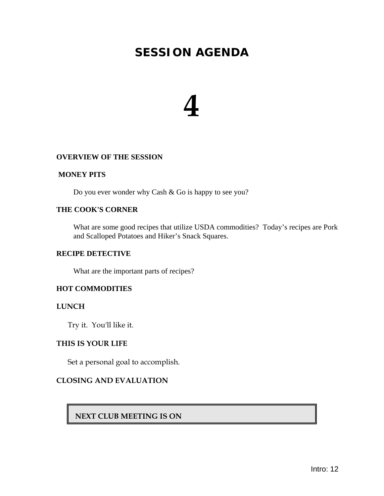## **4**

### **OVERVIEW OF THE SESSION**

#### **MONEY PITS**

Do you ever wonder why Cash & Go is happy to see you?

### **THE COOK'S CORNER**

What are some good recipes that utilize USDA commodities? Today's recipes are Pork and Scalloped Potatoes and Hiker's Snack Squares.

### **RECIPE DETECTIVE**

What are the important parts of recipes?

### **HOT COMMODITIES**

#### **LUNCH**

Try it. You'll like it.

### **THIS IS YOUR LIFE**

Set a personal goal to accomplish.

### **CLOSING AND EVALUATION**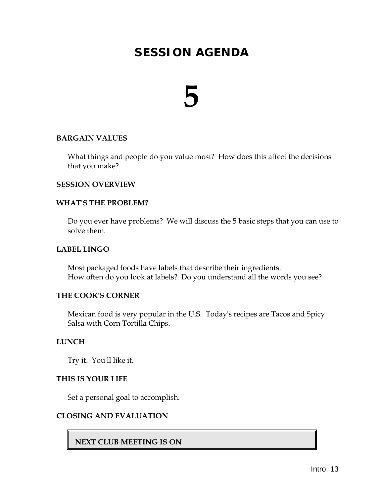## **5**

### **BARGAIN VALUES**

What things and people do you value most? How does this affect the decisions that you make?

### **SESSION OVERVIEW**

### **WHAT'S THE PROBLEM?**

Do you ever have problems? We will discuss the 5 basic steps that you can use to solve them.

### **LABEL LINGO**

Most packaged foods have labels that describe their ingredients. How often do you look at labels? Do you understand all the words you see?

### **THE COOK'S CORNER**

Mexican food is very popular in the U.S. Today's recipes are Tacos and Spicy Salsa with Corn Tortilla Chips.

#### **LUNCH**

Try it. You'll like it.

### **THIS IS YOUR LIFE**

Set a personal goal to accomplish.

### **CLOSING AND EVALUATION**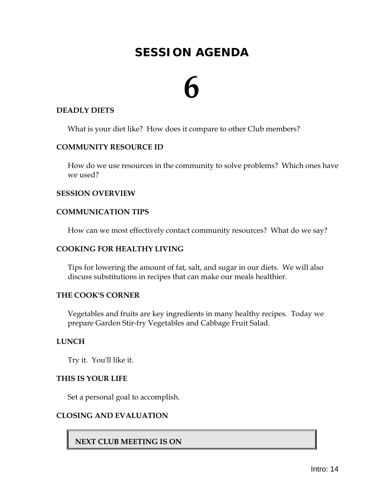## **6**

### **DEADLY DIETS**

What is your diet like? How does it compare to other Club members?

### **COMMUNITY RESOURCE ID**

How do we use resources in the community to solve problems? Which ones have we used?

### **SESSION OVERVIEW**

### **COMMUNICATION TIPS**

How can we most effectively contact community resources? What do we say?

### **COOKING FOR HEALTHY LIVING**

Tips for lowering the amount of fat, salt, and sugar in our diets. We will also discuss substitutions in recipes that can make our meals healthier.

### **THE COOK'S CORNER**

Vegetables and fruits are key ingredients in many healthy recipes. Today we prepare Garden Stir-fry Vegetables and Cabbage Fruit Salad.

### **LUNCH**

Try it. You'll like it.

### **THIS IS YOUR LIFE**

Set a personal goal to accomplish.

### **CLOSING AND EVALUATION**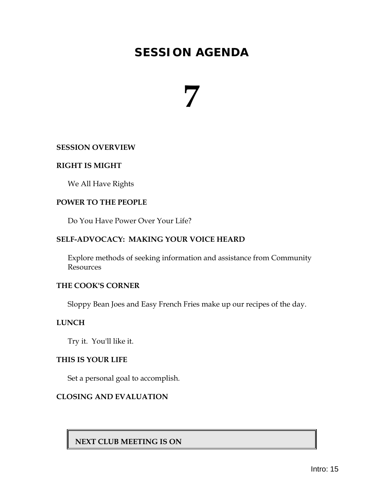## **7**

### **SESSION OVERVIEW**

### **RIGHT IS MIGHT**

We All Have Rights

### **POWER TO THE PEOPLE**

Do You Have Power Over Your Life?

### **SELF-ADVOCACY: MAKING YOUR VOICE HEARD**

Explore methods of seeking information and assistance from Community Resources

### **THE COOK'S CORNER**

Sloppy Bean Joes and Easy French Fries make up our recipes of the day.

### **LUNCH**

Try it. You'll like it.

### **THIS IS YOUR LIFE**

Set a personal goal to accomplish.

### **CLOSING AND EVALUATION**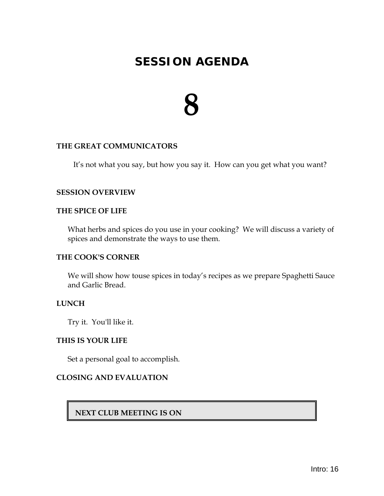## **8**

### **THE GREAT COMMUNICATORS**

It's not what you say, but how you say it. How can you get what you want?

### **SESSION OVERVIEW**

### **THE SPICE OF LIFE**

What herbs and spices do you use in your cooking? We will discuss a variety of spices and demonstrate the ways to use them.

### **THE COOK'S CORNER**

We will show how touse spices in today's recipes as we prepare Spaghetti Sauce and Garlic Bread.

### **LUNCH**

Try it. You'll like it.

### **THIS IS YOUR LIFE**

Set a personal goal to accomplish.

### **CLOSING AND EVALUATION**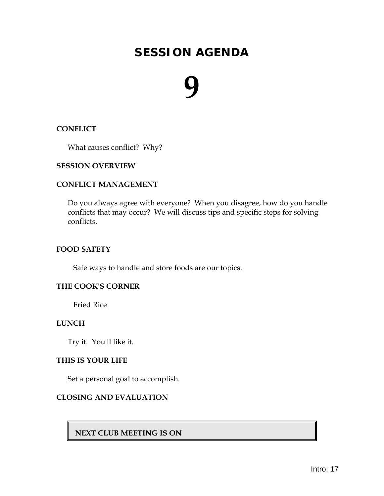## **9**

### **CONFLICT**

What causes conflict? Why?

### **SESSION OVERVIEW**

### **CONFLICT MANAGEMENT**

Do you always agree with everyone? When you disagree, how do you handle conflicts that may occur? We will discuss tips and specific steps for solving conflicts.

### **FOOD SAFETY**

Safe ways to handle and store foods are our topics.

### **THE COOK'S CORNER**

Fried Rice

### **LUNCH**

Try it. You'll like it.

### **THIS IS YOUR LIFE**

Set a personal goal to accomplish.

### **CLOSING AND EVALUATION**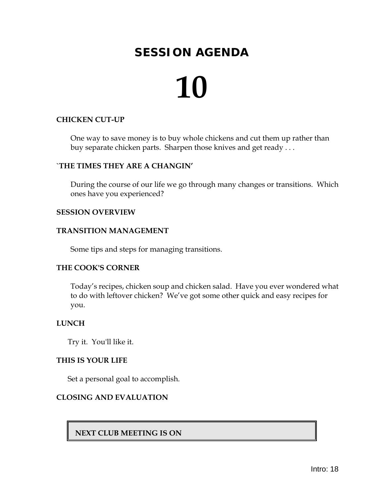## **10**

### **CHICKEN CUT-UP**

One way to save money is to buy whole chickens and cut them up rather than buy separate chicken parts. Sharpen those knives and get ready . . .

### **`THE TIMES THEY ARE A CHANGIN'**

During the course of our life we go through many changes or transitions. Which ones have you experienced?

### **SESSION OVERVIEW**

### **TRANSITION MANAGEMENT**

Some tips and steps for managing transitions.

### **THE COOK'S CORNER**

Today's recipes, chicken soup and chicken salad. Have you ever wondered what to do with leftover chicken? We've got some other quick and easy recipes for you.

### **LUNCH**

Try it. You'll like it.

### **THIS IS YOUR LIFE**

Set a personal goal to accomplish.

### **CLOSING AND EVALUATION**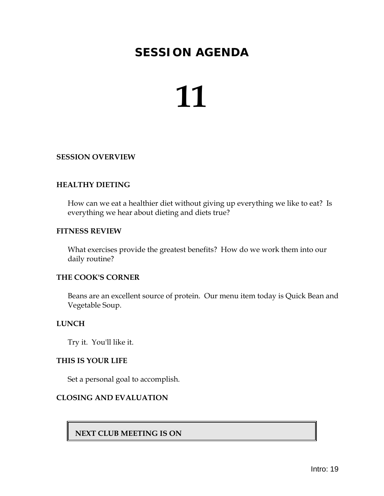## **11**

### **SESSION OVERVIEW**

### **HEALTHY DIETING**

How can we eat a healthier diet without giving up everything we like to eat? Is everything we hear about dieting and diets true?

### **FITNESS REVIEW**

What exercises provide the greatest benefits? How do we work them into our daily routine?

### **THE COOK'S CORNER**

Beans are an excellent source of protein. Our menu item today is Quick Bean and Vegetable Soup.

### **LUNCH**

Try it. You'll like it.

#### **THIS IS YOUR LIFE**

Set a personal goal to accomplish.

### **CLOSING AND EVALUATION**